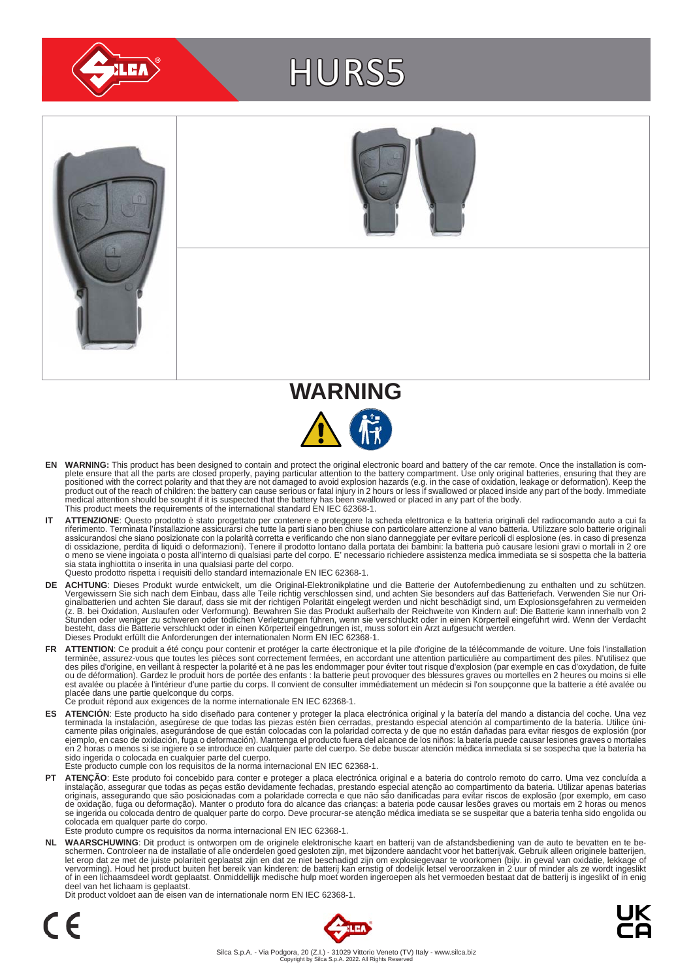

# HURS5







- EN WARNING: This product has been designed to contain and protect the original electronic board and battery of the car remote. Once the installation is com-<br>plete ensure that all the parts are closed properly, paying parti positioned with the correct polarity and that they are not damaged to avoid explosion hazards (e.g. in the case of oxidation, leakage or deformation). Keep the<br>product out of the reach of children: the battery can cause se medical attention should be sought if it is suspected that the battery has been swallowed or placed in any part of the body. This product meets the requirements of the international standard EN IEC 62368-1.
- IT ATTENZIONE: Questo prodotto è stato progettato per contenere e proteggere la scheda elettronica e la batteria originali del radiocomando auto a cui fa<br>riferimento. Terminata l'installazione assicurarsi che tutte la part assicurandosi che siano posizionate con la polarità corretta e verificando che non siano danneggiate per evitare pericoli di esplosione (es. in caso di presenza<br>di ossidazione, perdita di liquidi o deformazioni). Tenere il sia stata inghiottita o inserita in una qualsiasi parte del corpo. Questo prodotto rispetta i requisiti dello standard internazionale EN IEC 62368-1.
- **DE ACHTUNG**: Dieses Produkt wurde entwickelt, um die Original-Elektronikplatine und die Batterie der Autofernbedienung zu enthalten und zu schützen.<br>Vergewissern Sie sich nach dem Einbau, dass alle Teile richtig verschlos besteht, dass die Batterie verschluckt oder in einen Körperteil eingedrungen ist, muss sofort ein Arzt aufgesucht werden.<br>Dieses Produkt erfüllt die Anforderungen der internationalen Norm EN IEC 62368-1.
- FR ATTENTION: Ce produit a été conçu pour contenir et protéger la carte électronique et la pile d'origine de la télécommande de voiture. Une fois l'installation terminée, assurez-vous que toutes les pièces sont correctement fermées, en accordant une attention particulière au compartiment des piles. N'utilisez que<br>des piles d'origine, en veillant à respecter la polarité et à ne pas est avalée ou placée à l'intérieur d'une partie du corps. Il convient de consulter immédiatement un médecin si l'on soupçonne que la batterie a été avalée ou<br>placée dans une partie quelconque du corps.<br>Ce produit répond au
	-
- ES ATENCION: Este producto ha sido diseñado para contener y proteger la placa electrónica original y la batería del mando a distancia del coche. Una vez<br>-terminada la instalación, asegúrese de que todas las piezas estén bi camente pilas originales, asegurándose de que están colocadas con la polaridad correcta y de que no están dañadas para evitar riesgos de explosión (por<br>ejemplo, en caso de oxidación, fuga o deformación). Mantenga el produc sido ingerida o colocada en cualquier parte del cuerpo. Este producto cumple con los requisitos de la norma internacional EN IEC 62368-1.
- **PT ATENÇÃO**: Este produto foi concebido para conter e proteger a placa electrónica original e a bateria do controlo remoto do carro. Uma vez concluída a instalação, assegurar que todas as peças estão devidamente fechadas, prestando especial atenção ao compartimento da bateria. Utilizar apenas baterias<br>originais, assegurando que são posicionadas com a polaridade correcta e colocada em qualquer parte do corpo. Este produto cumpre os requisitos da norma internacional EN IEC 62368-1.

NL WAARSCHUWING: Dit product is ontworpen om de originele elektronische kaart en batterij van de afstandsbediening van de auto te bevatten en te be-<br>schermen. Controleer na de installatie of alle onderdelen goed gesloten z of in een lichaamsdeel wordt geplaatst. Onmiddellijk medische hulp moet worden ingeroepen als het vermoeden bestaat dat de batterij is ingeslikt of in enig deel van het lichaam is geplaatst.

Dit product voldoet aan de eisen van de internationale norm EN IEC 62368-1.